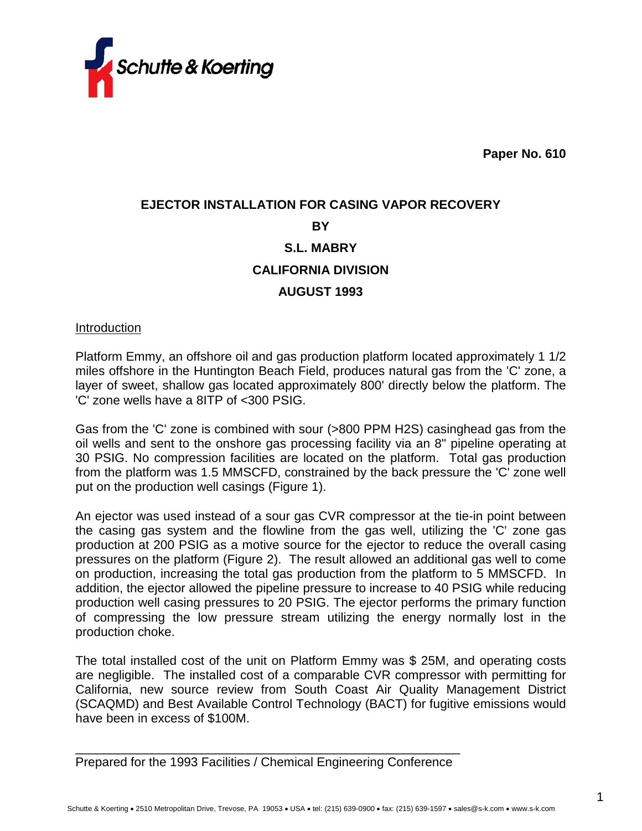

**Paper No. 610**

# **EJECTOR INSTALLATION FOR CASING VAPOR RECOVERY BY S.L. MABRY CALIFORNIA DIVISION AUGUST 1993**

Introduction

Platform Emmy, an offshore oil and gas production platform located approximately 1 1/2 miles offshore in the Huntington Beach Field, produces natural gas from the 'C' zone, a layer of sweet, shallow gas located approximately 800' directly below the platform. The 'C' zone wells have a 8ITP of <300 PSIG.

Gas from the 'C' zone is combined with sour (>800 PPM H2S) casinghead gas from the oil wells and sent to the onshore gas processing facility via an 8" pipeline operating at 30 PSIG. No compression facilities are located on the platform. Total gas production from the platform was 1.5 MMSCFD, constrained by the back pressure the 'C' zone well put on the production well casings (Figure 1).

An ejector was used instead of a sour gas CVR compressor at the tie-in point between the casing gas system and the flowline from the gas well, utilizing the 'C' zone gas production at 200 PSIG as a motive source for the ejector to reduce the overall casing pressures on the platform (Figure 2). The result allowed an additional gas well to come on production, increasing the total gas production from the platform to 5 MMSCFD. In addition, the ejector allowed the pipeline pressure to increase to 40 PSIG while reducing production well casing pressures to 20 PSIG. The ejector performs the primary function of compressing the low pressure stream utilizing the energy normally lost in the production choke.

The total installed cost of the unit on Platform Emmy was \$ 25M, and operating costs are negligible. The installed cost of a comparable CVR compressor with permitting for California, new source review from South Coast Air Quality Management District (SCAQMD) and Best Available Control Technology (BACT) for fugitive emissions would have been in excess of \$100M.

\_\_\_\_\_\_\_\_\_\_\_\_\_\_\_\_\_\_\_\_\_\_\_\_\_\_\_\_\_\_\_\_\_\_\_\_\_\_\_\_\_\_\_\_\_\_\_\_\_\_\_\_\_\_\_ Prepared for the 1993 Facilities / Chemical Engineering Conference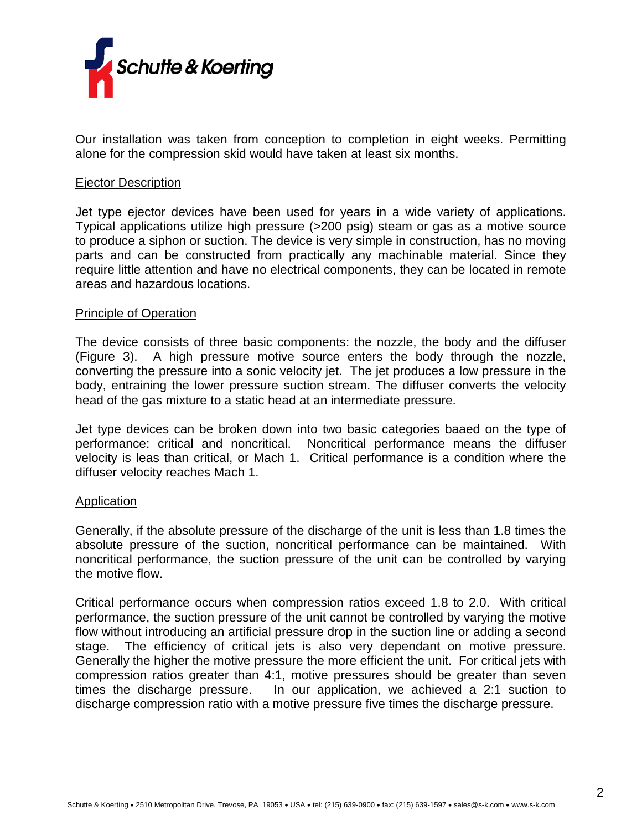

Our installation was taken from conception to completion in eight weeks. Permitting alone for the compression skid would have taken at least six months.

### Ejector Description

Jet type ejector devices have been used for years in a wide variety of applications. Typical applications utilize high pressure (>200 psig) steam or gas as a motive source to produce a siphon or suction. The device is very simple in construction, has no moving parts and can be constructed from practically any machinable material. Since they require little attention and have no electrical components, they can be located in remote areas and hazardous locations.

#### Principle of Operation

The device consists of three basic components: the nozzle, the body and the diffuser (Figure 3). A high pressure motive source enters the body through the nozzle, converting the pressure into a sonic velocity jet. The jet produces a low pressure in the body, entraining the lower pressure suction stream. The diffuser converts the velocity head of the gas mixture to a static head at an intermediate pressure.

Jet type devices can be broken down into two basic categories baaed on the type of performance: critical and noncritical. Noncritical performance means the diffuser velocity is leas than critical, or Mach 1. Critical performance is a condition where the diffuser velocity reaches Mach 1.

#### **Application**

Generally, if the absolute pressure of the discharge of the unit is less than 1.8 times the absolute pressure of the suction, noncritical performance can be maintained. With noncritical performance, the suction pressure of the unit can be controlled by varying the motive flow.

Critical performance occurs when compression ratios exceed 1.8 to 2.0. With critical performance, the suction pressure of the unit cannot be controlled by varying the motive flow without introducing an artificial pressure drop in the suction line or adding a second stage. The efficiency of critical jets is also very dependant on motive pressure. Generally the higher the motive pressure the more efficient the unit. For critical jets with compression ratios greater than 4:1, motive pressures should be greater than seven times the discharge pressure. In our application, we achieved a 2:1 suction to discharge compression ratio with a motive pressure five times the discharge pressure.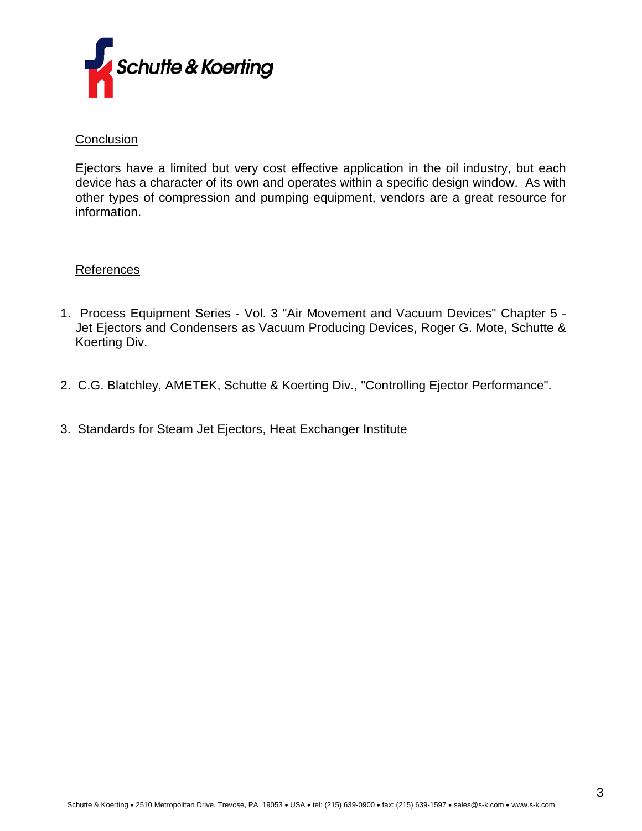

## **Conclusion**

Ejectors have a limited but very cost effective application in the oil industry, but each device has a character of its own and operates within a specific design window.As with other types of compression and pumping equipment, vendors are a great resource for information.

## References

- 1. Process Equipment Series Vol. 3 "Air Movement and Vacuum Devices" Chapter 5 Jet Ejectors and Condensers as Vacuum Producing Devices, Roger G. Mote, Schutte & Koerting Div.
- 2. C.G. Blatchley, AMETEK, Schutte & Koerting Div., "Controlling Ejector Performance".
- 3. Standards for Steam Jet Ejectors, Heat Exchanger Institute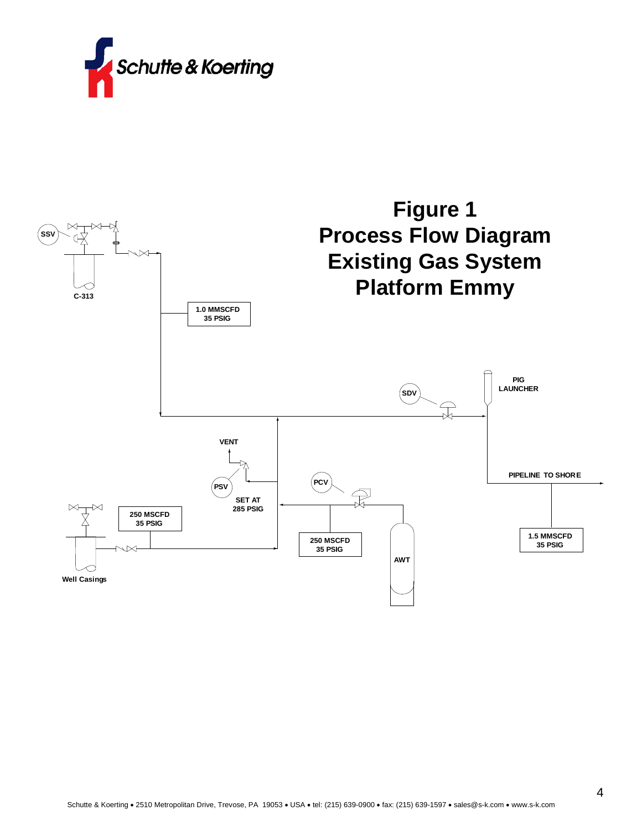

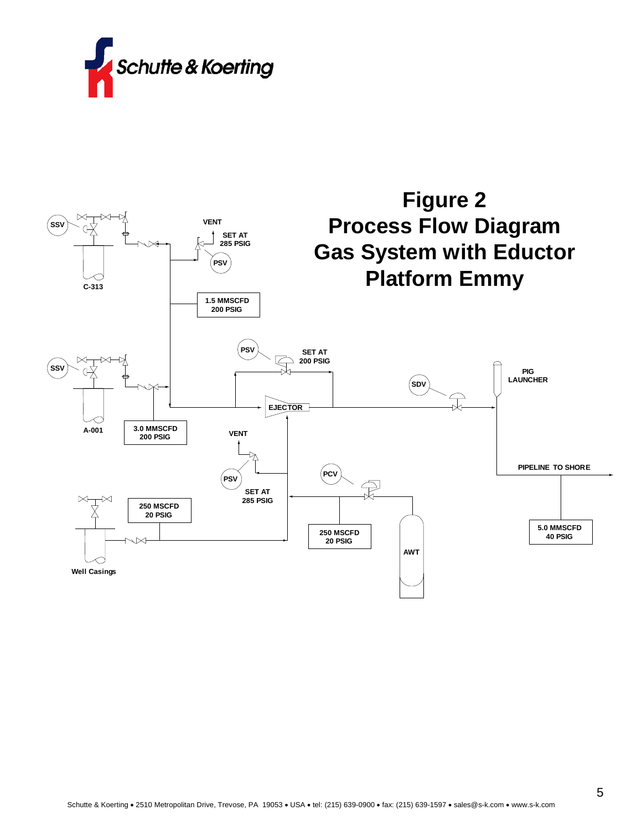